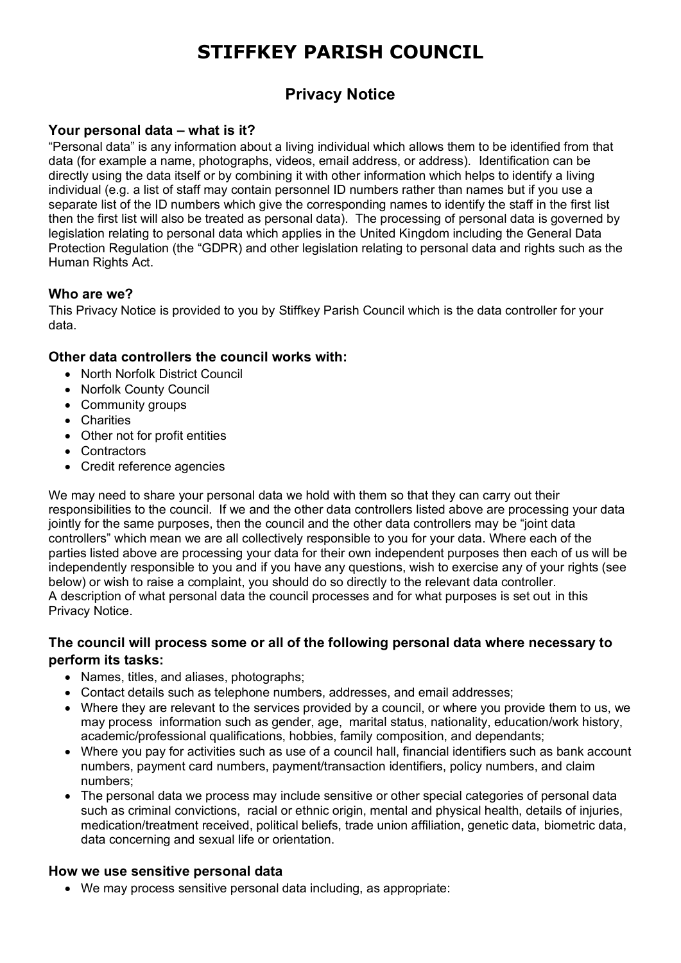# **STIFFKEY PARISH COUNCIL**

# **Privacy Notice**

# **Your personal data – what is it?**

"Personal data" is any information about a living individual which allows them to be identified from that data (for example a name, photographs, videos, email address, or address). Identification can be directly using the data itself or by combining it with other information which helps to identify a living individual (e.g. a list of staff may contain personnel ID numbers rather than names but if you use a separate list of the ID numbers which give the corresponding names to identify the staff in the first list then the first list will also be treated as personal data). The processing of personal data is governed by legislation relating to personal data which applies in the United Kingdom including the General Data Protection Regulation (the "GDPR) and other legislation relating to personal data and rights such as the Human Rights Act.

# **Who are we?**

This Privacy Notice is provided to you by Stiffkey Parish Council which is the data controller for your data.

#### **Other data controllers the council works with:**

- North Norfolk District Council
- Norfolk County Council
- Community groups
- Charities
- Other not for profit entities
- Contractors
- Credit reference agencies

We may need to share your personal data we hold with them so that they can carry out their responsibilities to the council. If we and the other data controllers listed above are processing your data jointly for the same purposes, then the council and the other data controllers may be "joint data controllers" which mean we are all collectively responsible to you for your data. Where each of the parties listed above are processing your data for their own independent purposes then each of us will be independently responsible to you and if you have any questions, wish to exercise any of your rights (see below) or wish to raise a complaint, you should do so directly to the relevant data controller. A description of what personal data the council processes and for what purposes is set out in this Privacy Notice.

#### **The council will process some or all of the following personal data where necessary to perform its tasks:**

- Names, titles, and aliases, photographs;
- Contact details such as telephone numbers, addresses, and email addresses;
- Where they are relevant to the services provided by a council, or where you provide them to us, we may process information such as gender, age, marital status, nationality, education/work history, academic/professional qualifications, hobbies, family composition, and dependants;
- Where you pay for activities such as use of a council hall, financial identifiers such as bank account numbers, payment card numbers, payment/transaction identifiers, policy numbers, and claim numbers;
- The personal data we process may include sensitive or other special categories of personal data such as criminal convictions, racial or ethnic origin, mental and physical health, details of injuries, medication/treatment received, political beliefs, trade union affiliation, genetic data, biometric data, data concerning and sexual life or orientation.

#### **How we use sensitive personal data**

• We may process sensitive personal data including, as appropriate: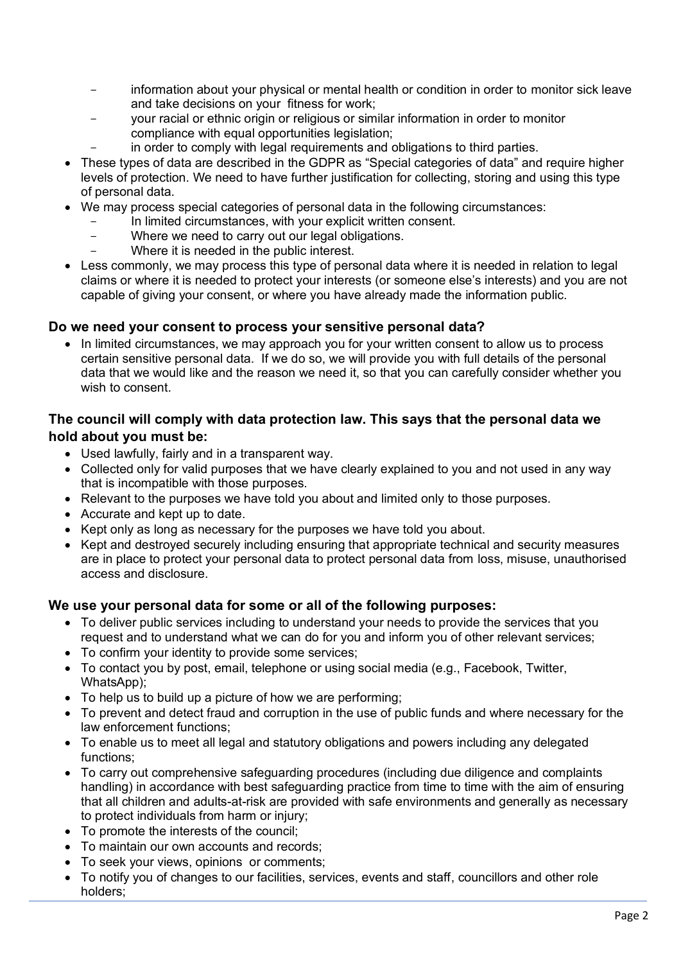- information about your physical or mental health or condition in order to monitor sick leave and take decisions on your fitness for work;
- your racial or ethnic origin or religious or similar information in order to monitor compliance with equal opportunities legislation;
	- in order to comply with legal requirements and obligations to third parties.
- These types of data are described in the GDPR as "Special categories of data" and require higher levels of protection. We need to have further justification for collecting, storing and using this type of personal data.
- We may process special categories of personal data in the following circumstances:
	- In limited circumstances, with your explicit written consent.
	- Where we need to carry out our legal obligations.
	- Where it is needed in the public interest.
- Less commonly, we may process this type of personal data where it is needed in relation to legal claims or where it is needed to protect your interests (or someone else's interests) and you are not capable of giving your consent, or where you have already made the information public.

# **Do we need your consent to process your sensitive personal data?**

• In limited circumstances, we may approach you for your written consent to allow us to process certain sensitive personal data. If we do so, we will provide you with full details of the personal data that we would like and the reason we need it, so that you can carefully consider whether you wish to consent.

# **The council will comply with data protection law. This says that the personal data we hold about you must be:**

- Used lawfully, fairly and in a transparent way.
- Collected only for valid purposes that we have clearly explained to you and not used in any way that is incompatible with those purposes.
- Relevant to the purposes we have told you about and limited only to those purposes.
- Accurate and kept up to date.
- Kept only as long as necessary for the purposes we have told you about.
- Kept and destroyed securely including ensuring that appropriate technical and security measures are in place to protect your personal data to protect personal data from loss, misuse, unauthorised access and disclosure.

# **We use your personal data for some or all of the following purposes:**

- To deliver public services including to understand your needs to provide the services that you request and to understand what we can do for you and inform you of other relevant services;
- To confirm your identity to provide some services;
- To contact you by post, email, telephone or using social media (e.g., Facebook, Twitter, WhatsApp);
- To help us to build up a picture of how we are performing;
- To prevent and detect fraud and corruption in the use of public funds and where necessary for the law enforcement functions;
- To enable us to meet all legal and statutory obligations and powers including any delegated functions;
- To carry out comprehensive safeguarding procedures (including due diligence and complaints handling) in accordance with best safeguarding practice from time to time with the aim of ensuring that all children and adults-at-risk are provided with safe environments and generally as necessary to protect individuals from harm or injury;
- To promote the interests of the council;
- To maintain our own accounts and records;
- To seek your views, opinions or comments;
- To notify you of changes to our facilities, services, events and staff, councillors and other role holders;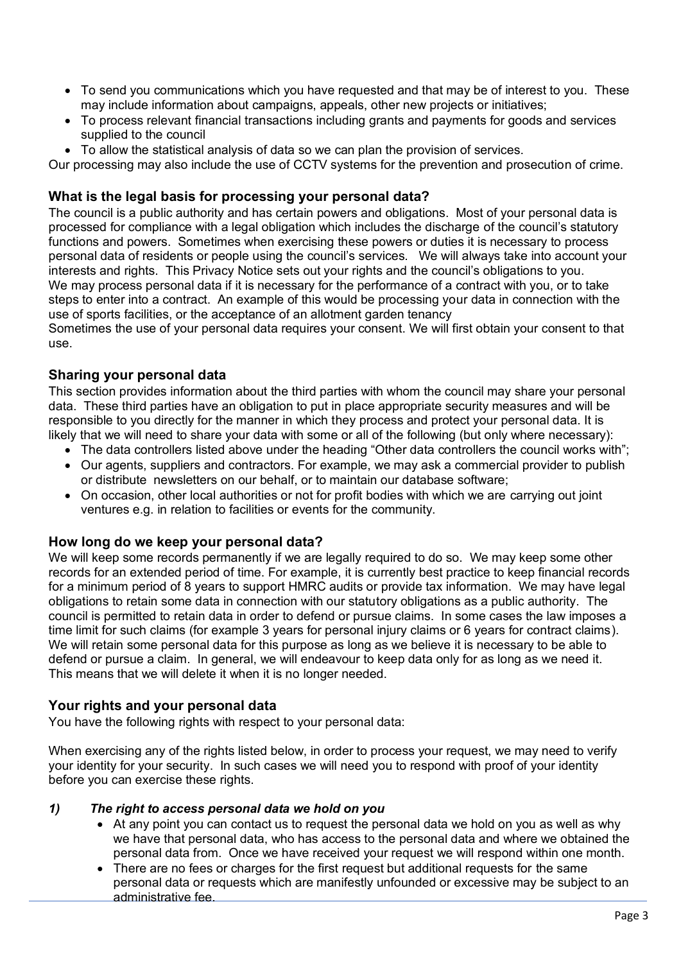- To send you communications which you have requested and that may be of interest to you. These may include information about campaigns, appeals, other new projects or initiatives;
- To process relevant financial transactions including grants and payments for goods and services supplied to the council
- To allow the statistical analysis of data so we can plan the provision of services.

Our processing may also include the use of CCTV systems for the prevention and prosecution of crime.

#### **What is the legal basis for processing your personal data?**

The council is a public authority and has certain powers and obligations. Most of your personal data is processed for compliance with a legal obligation which includes the discharge of the council's statutory functions and powers. Sometimes when exercising these powers or duties it is necessary to process personal data of residents or people using the council's services. We will always take into account your interests and rights. This Privacy Notice sets out your rights and the council's obligations to you. We may process personal data if it is necessary for the performance of a contract with you, or to take steps to enter into a contract. An example of this would be processing your data in connection with the use of sports facilities, or the acceptance of an allotment garden tenancy

Sometimes the use of your personal data requires your consent. We will first obtain your consent to that use.

# **Sharing your personal data**

This section provides information about the third parties with whom the council may share your personal data. These third parties have an obligation to put in place appropriate security measures and will be responsible to you directly for the manner in which they process and protect your personal data. It is likely that we will need to share your data with some or all of the following (but only where necessary):

- The data controllers listed above under the heading "Other data controllers the council works with";
- Our agents, suppliers and contractors. For example, we may ask a commercial provider to publish or distribute newsletters on our behalf, or to maintain our database software;
- On occasion, other local authorities or not for profit bodies with which we are carrying out joint ventures e.g. in relation to facilities or events for the community.

# **How long do we keep your personal data?**

We will keep some records permanently if we are legally required to do so. We may keep some other records for an extended period of time. For example, it is currently best practice to keep financial records for a minimum period of 8 years to support HMRC audits or provide tax information. We may have legal obligations to retain some data in connection with our statutory obligations as a public authority. The council is permitted to retain data in order to defend or pursue claims. In some cases the law imposes a time limit for such claims (for example 3 years for personal injury claims or 6 years for contract claims). We will retain some personal data for this purpose as long as we believe it is necessary to be able to defend or pursue a claim. In general, we will endeavour to keep data only for as long as we need it. This means that we will delete it when it is no longer needed.

# **Your rights and your personal data**

You have the following rights with respect to your personal data:

When exercising any of the rights listed below, in order to process your request, we may need to verify your identity for your security. In such cases we will need you to respond with proof of your identity before you can exercise these rights.

#### *1) The right to access personal data we hold on you*

- At any point you can contact us to request the personal data we hold on you as well as why we have that personal data, who has access to the personal data and where we obtained the personal data from. Once we have received your request we will respond within one month.
- There are no fees or charges for the first request but additional requests for the same personal data or requests which are manifestly unfounded or excessive may be subject to an administrative fee.